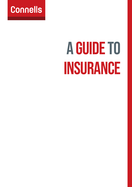

# A GUIDE TO INSURANCE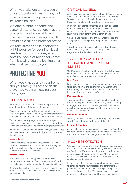When you take out a mortgage or buy a property with us, it is a good time to review and update your insurance policies.

We offer a range of home and personal insurance options that are convenient and affordable, with qualified advisors in every branch providing clear and practical advice.

We take great pride in finding the right insurance for your individual needs and circumstances, so you have the peace of mind that comes from knowing you are looking after what matters most to you.

# PROTECTING YOU

What would happen to your home and your family if illness or death prevented you from paying your mortgage?

# LIFE INSURANCE

With life insurance you can take steps to protect and take care of your family if the worst did happen.

You pay an annual or monthly premium and if you pass away during the length of the policy, your estate receives a tax-free lump sum for your family to use how they please.

This can help clear any large personal debts, e.g. your mortgage, so your family can remain in their home without having to worry about making monthly mortgage repayments.

We can advise you on the amount of cover you need (called the cover amount) and the length of your policy (known as the policy term).

#### **Terminal Illness**

Life insurance includes terminal illness cover as standard. That means you receive the full cover amount if you're diagnosed with a terminal illness during the policy term and life expectancy is less than 12 months.

#### **Death in Service**

Your employer might already provide some kind of life insurance cover in the form of death in service benefit, which pays out a lump sum should you die while employed by them.

Bring any details of your existing cover with you when you come and see us and we'll review it alongside your future protection needs.

## CRITICAL ILLNESS

A serious illness can have a devastating effect on a family's finances, and it can happen to any one of us at any time. You can minimise the financial impact on you and your loved ones by taking out critical illness insurance.

If you have to undergo surgery or have been diagnosed with a listed critical illness during the policy term, you could receive a tax-free lump sum to cover your mortgage repayments or any other financial commitments.

With both life insurance and critical illness you can choose a single policy for one person or a joint policy for two people.

Critical illness also includes children's critical illness benefit, which pays out a tax-free lump sum if a child is diagnosed with a listed critical illness.

## TYPES OF COVER FOR LIFE INSURANCE AND CRITICAL **ILLNESS**

Our Mortgage Consultant will help you identify the most suitable insurance for you and will then recommend the type of cover that best meets your needs.\*

#### **Level Cover**

Level cover means that the total amount of cover you have taken out, known as the cover amount, will remain the same throughout the life of the policy. It is paid out as a lump sum if you make a successful claim.

#### **Decreasing Cover**

The amount of cover decreases each month throughout the life of the policy, broadly in line with your outstanding mortgage balance, so as your mortgage debt reduces, so does the cover amount. It is paid out as a lump sum if you make a successful claim.

#### **Guaranteed Premium**

With a guaranteed premium, your monthly premiums will stay the same throughout the term of the policy.

#### **Reviewable Premium**

A reviewable premium means your premiums are fixed for a set period of time, after which your insurance provider has the option to review and change your premiums.

## INCOME PROTECTION

Whereas life insurance and critical illness policies pay out a lump sum, an income protection policy pays out a monthly tax-free income if you are unable to work or suffer a loss of earnings due to accident or sickness. After an agreed waiting period known as a 'deferred period', you'll begin receiving monthly payments.

Income protection is a long-term policy that enables you to continue making your mortgage and other monthly payments until you return to work, the policy expires or you die — whichever is earliest. The amount you receive will depend on the level of cover and the term you choose.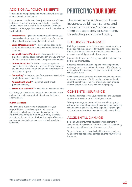## ADDITIONAL POLICY BENEFITS

You can tailor your policy to suit your needs with a variety of extra benefits, listed below.

Our insurance provider may already include some of these features as standard in your policy, but others may be optional extras and available for an additional premium. Speak to our Mortgage Consultant about which benefits are most suitable.

- **Fracture Cover** gives the reassurance of knowing you may receive a lump sum if you sustain one of a number of specified fractures in any 12-month period.
- **Second Medical Opinion\*\*** a second medical opinion could be lifesaving, with a review of both diagnosis and treatment.
- **Worldwide Medical Treatment**  in conjunction with expert second medical opinion, this can give you and your family access to worldwide medical experts and treatment.
- **24-hour health line\*\*** 24-hour access to a private health line service where you and your family can speak to a qualified nurse and get one to one support for any health related query.
- **Counselling\*\***  designed to offer short-term face-to-face or telephone-based counselling.
- **Annual Health Check\*\***  optional health check provided annually.
- **Access to an online GP\*\***  available on payment of a fee.

Our Mortgage Consultant can explain each benefit clearly and provide advice on what might suit your individual circumstances.

#### **Duty of Disclosure**

When you take out any kind of protection it is your responsibility to provide complete and accurate information to both our Mortgage Consultant and the insurance provider, up to the time your policy is started. Any information you fail to disclose that might affect your policy could invalidate your cover and affect any claims you make.

# PROTECTING YOUR HOME

There are two main forms of home insurance: buildings insurance and contents insurance. You can take them out separately or save money by selecting a combined policy.

#### BUILDINGS INSURANCE

Buildings insurance protects the physical structure of your home against damage caused by events such as storms, floods, subsidence, fire or explosion. You can make a claim to repair or rebuild part or all of your home.

It covers the fixtures and fittings too, so fitted kitchens and bathrooms are included.

Buildings insurance must be in place from the point you exchange contracts on a freehold property. If you're buying a property with a mortgage, it's your responsibility to have the cover in place.

Since house prices fluctuate and often rise, you are advised to insure your property for its rebuild cost rather than its current market value. This will protect you from inflation and the potential rise in the value of the property.

# CONTENTS INSURANCE

Contents insurance covers your possessions and valuables against perils such as storms, floods, fire or theft.

When you arrange your cover with us, we will ask you to estimate the value of replacing the contents you would like covered in your policy if you were to purchase them again. Ask us about our contents calculator to help you with this.

# ACCIDENTAL DAMAGE

Some buildings insurance policies have an element of accidental damage cover included as standard, but you may want to add additional cover for more protection.

To protect your contents and valuables from accidents, you will need to add accidental damage cover to your contents insurance.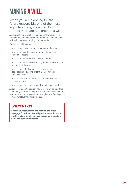# MAKING A WILL

When you are planning for the future responsibly, one of the most important things you can do to protect your family is prepare a will.

A will gives you control of what happens to your assets after you die and enables you to nominate someone who will be in charge of carrying out your wishes.

Preparing a will means:

- You can leave your estate to an unmarried partner
- You can bequeath specific amounts of money to individual people
- You can appoint guardians of your children
- You can appoint an executor of your will to ensure your wishes are followed
- You can leave individual possessions to named beneficiaries, e.g. items of sentimental value or family heirlooms
- You can pass the proceeds of a life assurance policy to a specific person
- You can leave a certain amount to individual charities

Ask our Mortgage Consultant how our will-writing partner can guide you through the process and help you safeguard your home and your possessions and give your family peace of mind, whatever the future holds.

# **WHAT NEXT?**

**Contact your local branch and speak to one of our Mortgage Consultants. We will provide you with clear and practical advice on all your insurance options based on your individual circumstances.**